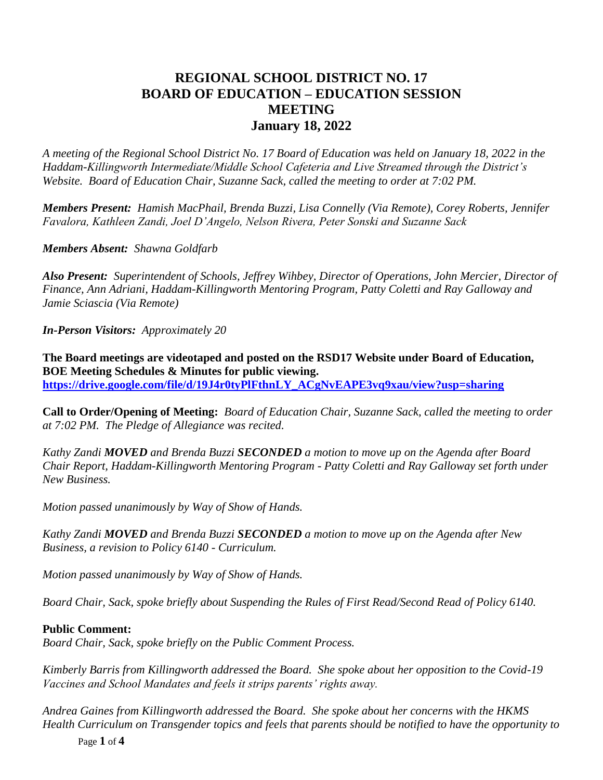# **REGIONAL SCHOOL DISTRICT NO. 17 BOARD OF EDUCATION – EDUCATION SESSION MEETING January 18, 2022**

*A meeting of the Regional School District No. 17 Board of Education was held on January 18, 2022 in the Haddam-Killingworth Intermediate/Middle School Cafeteria and Live Streamed through the District's Website. Board of Education Chair, Suzanne Sack, called the meeting to order at 7:02 PM.*

*Members Present: Hamish MacPhail, Brenda Buzzi, Lisa Connelly (Via Remote), Corey Roberts, Jennifer Favalora, Kathleen Zandi, Joel D'Angelo, Nelson Rivera, Peter Sonski and Suzanne Sack*

*Members Absent: Shawna Goldfarb*

*Also Present: Superintendent of Schools, Jeffrey Wihbey, Director of Operations, John Mercier, Director of Finance, Ann Adriani, Haddam-Killingworth Mentoring Program, Patty Coletti and Ray Galloway and Jamie Sciascia (Via Remote)*

*In-Person Visitors: Approximately 20*

**The Board meetings are videotaped and posted on the RSD17 Website under Board of Education, BOE Meeting Schedules & Minutes for public viewing. [https://drive.google.com/file/d/19J4r0tyPlFthnLY\\_ACgNvEAPE3vq9xau/view?usp=sharing](https://drive.google.com/file/d/19J4r0tyPlFthnLY_ACgNvEAPE3vq9xau/view?usp=sharing)**

**Call to Order/Opening of Meeting:** *Board of Education Chair, Suzanne Sack, called the meeting to order at 7:02 PM. The Pledge of Allegiance was recited.*

*Kathy Zandi MOVED and Brenda Buzzi SECONDED a motion to move up on the Agenda after Board Chair Report, Haddam-Killingworth Mentoring Program - Patty Coletti and Ray Galloway set forth under New Business.*

*Motion passed unanimously by Way of Show of Hands.*

*Kathy Zandi MOVED and Brenda Buzzi SECONDED a motion to move up on the Agenda after New Business, a revision to Policy 6140 - Curriculum.*

*Motion passed unanimously by Way of Show of Hands.*

*Board Chair, Sack, spoke briefly about Suspending the Rules of First Read/Second Read of Policy 6140.*

#### **Public Comment:**

*Board Chair, Sack, spoke briefly on the Public Comment Process.*

*Kimberly Barris from Killingworth addressed the Board. She spoke about her opposition to the Covid-19 Vaccines and School Mandates and feels it strips parents' rights away.* 

*Andrea Gaines from Killingworth addressed the Board. She spoke about her concerns with the HKMS Health Curriculum on Transgender topics and feels that parents should be notified to have the opportunity to* 

Page **1** of **4**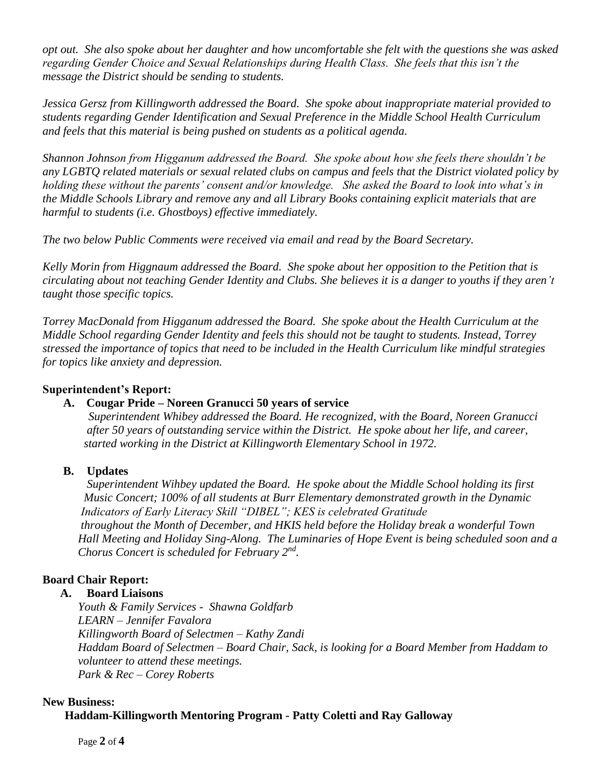*opt out. She also spoke about her daughter and how uncomfortable she felt with the questions she was asked regarding Gender Choice and Sexual Relationships during Health Class. She feels that this isn't the message the District should be sending to students.*

*Jessica Gersz from Killingworth addressed the Board. She spoke about inappropriate material provided to students regarding Gender Identification and Sexual Preference in the Middle School Health Curriculum and feels that this material is being pushed on students as a political agenda.*

*Shannon Johnson from Higganum addressed the Board. She spoke about how she feels there shouldn't be any LGBTQ related materials or sexual related clubs on campus and feels that the District violated policy by holding these without the parents' consent and/or knowledge. She asked the Board to look into what's in the Middle Schools Library and remove any and all Library Books containing explicit materials that are harmful to students (i.e. Ghostboys) effective immediately.* 

*The two below Public Comments were received via email and read by the Board Secretary.*

*Kelly Morin from Higgnaum addressed the Board. She spoke about her opposition to the Petition that is circulating about not teaching Gender Identity and Clubs. She believes it is a danger to youths if they aren't taught those specific topics.*

*Torrey MacDonald from Higganum addressed the Board. She spoke about the Health Curriculum at the Middle School regarding Gender Identity and feels this should not be taught to students. Instead, Torrey stressed the importance of topics that need to be included in the Health Curriculum like mindful strategies for topics like anxiety and depression.*

#### **Superintendent's Report:**

### **A. Cougar Pride – Noreen Granucci 50 years of service**

 *Superintendent Whibey addressed the Board. He recognized, with the Board, Noreen Granucci after 50 years of outstanding service within the District. He spoke about her life, and career, started working in the District at Killingworth Elementary School in 1972.*

### **B. Updates**

 *Superintendent Wihbey updated the Board. He spoke about the Middle School holding its first Music Concert; 100% of all students at Burr Elementary demonstrated growth in the Dynamic Indicators of Early Literacy Skill "DIBEL"; KES is celebrated Gratitude throughout the Month of December, and HKIS held before the Holiday break a wonderful Town Hall Meeting and Holiday Sing-Along. The Luminaries of Hope Event is being scheduled soon and a Chorus Concert is scheduled for February 2nd .*

### **Board Chair Report:**

#### **A. Board Liaisons**

*Youth & Family Services - Shawna Goldfarb LEARN – Jennifer Favalora Killingworth Board of Selectmen – Kathy Zandi Haddam Board of Selectmen – Board Chair, Sack, is looking for a Board Member from Haddam to volunteer to attend these meetings. Park & Rec – Corey Roberts*

#### **New Business:**

### **Haddam-Killingworth Mentoring Program - Patty Coletti and Ray Galloway**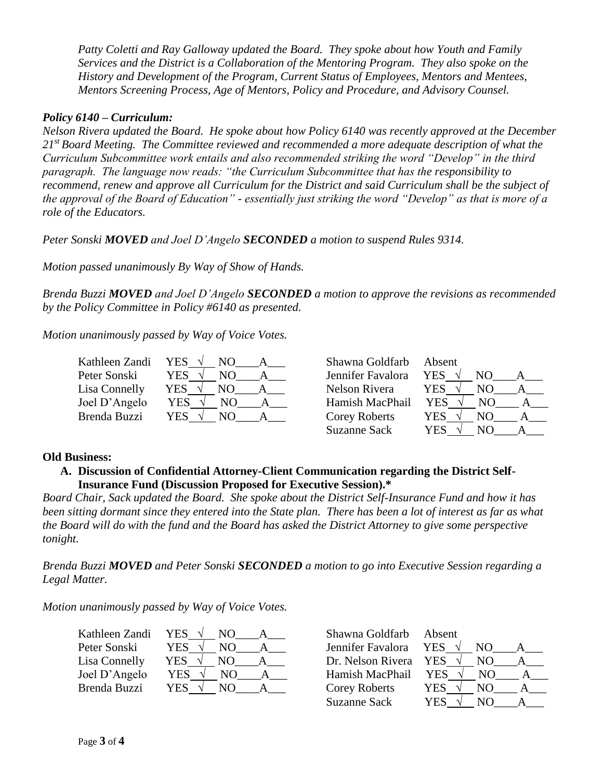*Patty Coletti and Ray Galloway updated the Board. They spoke about how Youth and Family Services and the District is a Collaboration of the Mentoring Program. They also spoke on the History and Development of the Program, Current Status of Employees, Mentors and Mentees, Mentors Screening Process, Age of Mentors, Policy and Procedure, and Advisory Counsel.* 

### *Policy 6140 – Curriculum:*

*Nelson Rivera updated the Board. He spoke about how Policy 6140 was recently approved at the December 21st Board Meeting. The Committee reviewed and recommended a more adequate description of what the Curriculum Subcommittee work entails and also recommended striking the word "Develop" in the third paragraph. The language now reads: "the Curriculum Subcommittee that has the responsibility to recommend, renew and approve all Curriculum for the District and said Curriculum shall be the subject of the approval of the Board of Education" - essentially just striking the word "Develop" as that is more of a role of the Educators.*

*Peter Sonski MOVED and Joel D'Angelo SECONDED a motion to suspend Rules 9314.*

*Motion passed unanimously By Way of Show of Hands.*

*Brenda Buzzi MOVED and Joel D'Angelo SECONDED a motion to approve the revisions as recommended by the Policy Committee in Policy #6140 as presented.*

*Motion unanimously passed by Way of Voice Votes.*

| Kathleen Zandi      | <b>YES</b><br>NO | Shawna Goldfarb      | Absent            |
|---------------------|------------------|----------------------|-------------------|
| Peter Sonski        | YES<br>NΟ        | Jennifer Favalora    | <b>YES</b><br>NO. |
| Lisa Connelly       | YES<br>NO.       | Nelson Rivera        | YES<br>NО         |
| Joel D'Angelo       | YES<br>NO.       | Hamish MacPhail      | <b>YES</b><br>NO. |
| <b>Brenda Buzzi</b> | YES .<br>NO.     | <b>Corey Roberts</b> | YES.<br>NО        |
|                     |                  | Suzanne Sack         | YES<br>NO.        |

#### **Old Business:**

#### **A. Discussion of Confidential Attorney-Client Communication regarding the District Self-Insurance Fund (Discussion Proposed for Executive Session).\***

*Board Chair, Sack updated the Board. She spoke about the District Self-Insurance Fund and how it has been sitting dormant since they entered into the State plan. There has been a lot of interest as far as what the Board will do with the fund and the Board has asked the District Attorney to give some perspective tonight.* 

*Brenda Buzzi MOVED and Peter Sonski SECONDED a motion to go into Executive Session regarding a Legal Matter.* 

*Motion unanimously passed by Way of Voice Votes.*

| Kathleen Zandi | YES $\sqrt{ }$<br>NO. | Shawna Goldfarb                 | Absent            |
|----------------|-----------------------|---------------------------------|-------------------|
| Peter Sonski   | YES<br>NΟ             | Jennifer Favalora               | <b>YES</b><br>NO. |
| Lisa Connelly  | YES<br>NO.            | Dr. Nelson Rivera YES $\sqrt{}$ | NO.               |
| Joel D'Angelo  | YES.<br>NO.           | Hamish MacPhail                 | YES.<br>NO.       |
| Brenda Buzzi   | <b>YES</b><br>NO.     | <b>Corey Roberts</b>            | YES<br>NO.        |
|                |                       | Suzanne Sack                    | YES<br>NO.        |